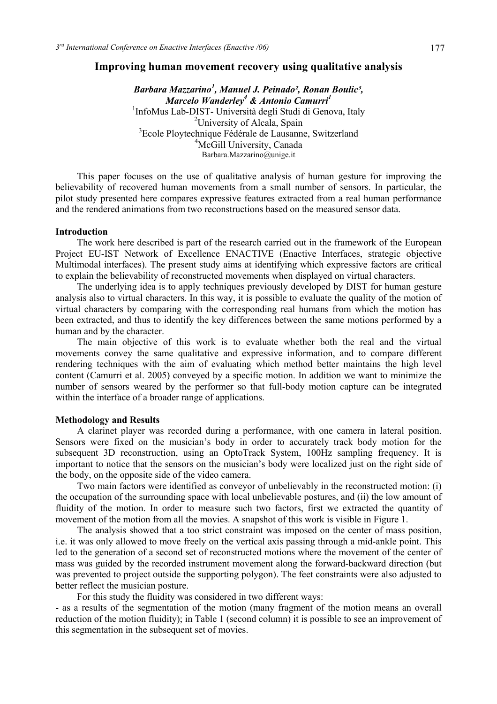## **Improving human movement recovery using qualitative analysis**

*Barbara Mazzarino<sup>1</sup> , Manuel J. Peinado², Ronan Boulic³, Marcelo Wanderley<sup>4</sup> & Antonio Camurri<sup>1</sup>*<br><sup>1</sup>InfoMus Leb DIST, Università degli Studi di Gene <sup>1</sup>InfoMus Lab-DIST- Università degli Studi di Genova, Italy <sup>2</sup>University of Alcala, Spain 3 Ecole Ploytechnique Fédérale de Lausanne, Switzerland <sup>4</sup>McGill University, Canada Barbara.Mazzarino@unige.it

This paper focuses on the use of qualitative analysis of human gesture for improving the believability of recovered human movements from a small number of sensors. In particular, the pilot study presented here compares expressive features extracted from a real human performance and the rendered animations from two reconstructions based on the measured sensor data.

## **Introduction**

The work here described is part of the research carried out in the framework of the European Project EU-IST Network of Excellence ENACTIVE (Enactive Interfaces, strategic objective Multimodal interfaces). The present study aims at identifying which expressive factors are critical to explain the believability of reconstructed movements when displayed on virtual characters.

The underlying idea is to apply techniques previously developed by DIST for human gesture analysis also to virtual characters. In this way, it is possible to evaluate the quality of the motion of virtual characters by comparing with the corresponding real humans from which the motion has been extracted, and thus to identify the key differences between the same motions performed by a human and by the character.

The main objective of this work is to evaluate whether both the real and the virtual movements convey the same qualitative and expressive information, and to compare different rendering techniques with the aim of evaluating which method better maintains the high level content (Camurri et al. 2005) conveyed by a specific motion. In addition we want to minimize the number of sensors weared by the performer so that full-body motion capture can be integrated within the interface of a broader range of applications.

## **Methodology and Results**

A clarinet player was recorded during a performance, with one camera in lateral position. Sensors were fixed on the musician's body in order to accurately track body motion for the subsequent 3D reconstruction, using an OptoTrack System, 100Hz sampling frequency. It is important to notice that the sensors on the musician's body were localized just on the right side of the body, on the opposite side of the video camera.

Two main factors were identified as conveyor of unbelievably in the reconstructed motion: (i) the occupation of the surrounding space with local unbelievable postures, and (ii) the low amount of fluidity of the motion. In order to measure such two factors, first we extracted the quantity of movement of the motion from all the movies. A snapshot of this work is visible in Figure 1.

The analysis showed that a too strict constraint was imposed on the center of mass position, i.e. it was only allowed to move freely on the vertical axis passing through a mid-ankle point. This led to the generation of a second set of reconstructed motions where the movement of the center of mass was guided by the recorded instrument movement along the forward-backward direction (but was prevented to project outside the supporting polygon). The feet constraints were also adjusted to better reflect the musician posture.

For this study the fluidity was considered in two different ways:

- as a results of the segmentation of the motion (many fragment of the motion means an overall reduction of the motion fluidity); in Table 1 (second column) it is possible to see an improvement of this segmentation in the subsequent set of movies.